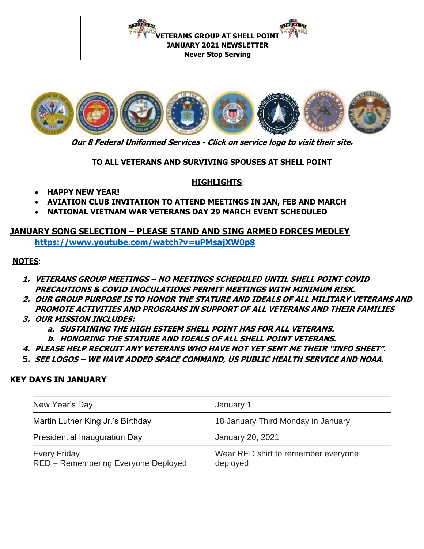**NEWSTER / ATT OVER NEWSLE** / REAL **VETERANS GROUP AT SHELL POINT JANUARY 2021 NEWSLETTER Never Stop Serving** 



**Our 8 Federal Uniformed Services - Click on service logo to visit their site.**

**TO ALL VETERANS AND SURVIVING SPOUSES AT SHELL POINT**

#### **HIGHLIGHTS**:

- **HAPPY NEW YEAR!**
- **AVIATION CLUB INVITATION TO ATTEND MEETINGS IN JAN, FEB AND MARCH**
- **NATIONAL VIETNAM WAR VETERANS DAY 29 MARCH EVENT SCHEDULED**

# **JANUARY SONG SELECTION – PLEASE STAND AND SING ARMED FORCES MEDLEY**

**<https://www.youtube.com/watch?v=uPMsajXW0p8>**

# **NOTES**:

- **1. VETERANS GROUP MEETINGS – NO MEETINGS SCHEDULED UNTIL SHELL POINT COVID PRECAUTIONS & COVID INOCULATIONS PERMIT MEETINGS WITH MINIMUM RISK.**
- **2. OUR GROUP PURPOSE IS TO HONOR THE STATURE AND IDEALS OF ALL MILITARY VETERANS AND PROMOTE ACTIVITIES AND PROGRAMS IN SUPPORT OF ALL VETERANS AND THEIR FAMILIES**
- **3. OUR MISSION INCLUDES:** 
	- **a. SUSTAINING THE HIGH ESTEEM SHELL POINT HAS FOR ALL VETERANS.**
	- **b. HONORING THE STATURE AND IDEALS OF ALL SHELL POINT VETERANS.**
- **4. PLEASE HELP RECRUIT ANY VETERANS WHO HAVE NOT YET SENT ME THEIR "INFO SHEET".**
- **5. SEE LOGOS – WE HAVE ADDED SPACE COMMAND, US PUBLIC HEALTH SERVICE AND NOAA.**

#### **KEY DAYS IN JANUARY**

| New Year's Day                                                    | January 1                                       |
|-------------------------------------------------------------------|-------------------------------------------------|
| Martin Luther King Jr.'s Birthday                                 | 18 January Third Monday in January              |
| <b>Presidential Inauguration Day</b>                              | <b>January 20, 2021</b>                         |
| <b>Every Friday</b><br><b>RED</b> – Remembering Everyone Deployed | Wear RED shirt to remember everyone<br>deployed |